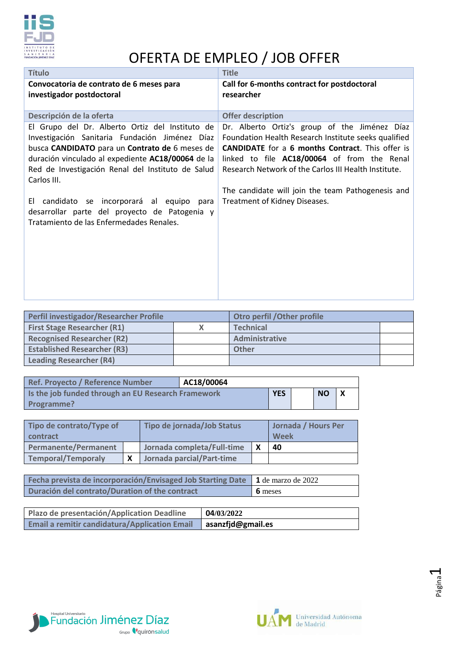

## OFERTA DE EMPLEO / JOB OFFER

| <b>Título</b>                                                                                                                                                                                                                                                                                                                                                                                                           | <b>Title</b>                                                                                                                                                                                                                                                                                                                                                  |
|-------------------------------------------------------------------------------------------------------------------------------------------------------------------------------------------------------------------------------------------------------------------------------------------------------------------------------------------------------------------------------------------------------------------------|---------------------------------------------------------------------------------------------------------------------------------------------------------------------------------------------------------------------------------------------------------------------------------------------------------------------------------------------------------------|
| Convocatoria de contrato de 6 meses para<br>investigador postdoctoral                                                                                                                                                                                                                                                                                                                                                   | Call for 6-months contract for postdoctoral<br>researcher                                                                                                                                                                                                                                                                                                     |
| Descripción de la oferta                                                                                                                                                                                                                                                                                                                                                                                                | <b>Offer description</b>                                                                                                                                                                                                                                                                                                                                      |
| El Grupo del Dr. Alberto Ortiz del Instituto de<br>Investigación Sanitaria Fundación Jiménez Díaz<br>busca CANDIDATO para un Contrato de 6 meses de<br>duración vinculado al expediente AC18/00064 de la<br>Red de Investigación Renal del Instituto de Salud<br>Carlos III.<br>El candidato se incorporará al equipo para<br>desarrollar parte del proyecto de Patogenia y<br>Tratamiento de las Enfermedades Renales. | Dr. Alberto Ortiz's group of the Jiménez Díaz<br>Foundation Health Research Institute seeks qualified<br><b>CANDIDATE</b> for a 6 months Contract. This offer is<br>linked to file AC18/00064 of from the Renal<br>Research Network of the Carlos III Health Institute.<br>The candidate will join the team Pathogenesis and<br>Treatment of Kidney Diseases. |

| Perfil investigador/Researcher Profile |  | Otro perfil / Other profile |  |  |
|----------------------------------------|--|-----------------------------|--|--|
| <b>First Stage Researcher (R1)</b>     |  | <b>Technical</b>            |  |  |
| <b>Recognised Researcher (R2)</b>      |  | Administrative              |  |  |
| <b>Established Researcher (R3)</b>     |  | <b>Other</b>                |  |  |
| <b>Leading Researcher (R4)</b>         |  |                             |  |  |

| Ref. Proyecto / Reference Number                   | AC18/00064 |           |  |  |
|----------------------------------------------------|------------|-----------|--|--|
| Is the job funded through an EU Research Framework | <b>YES</b> | <b>NO</b> |  |  |
| Programme?                                         |            |           |  |  |

| Tipo de contrato/Type of<br><b>contract</b> | Tipo de jornada/Job Status |  | Jornada / Hours Per<br>Week |
|---------------------------------------------|----------------------------|--|-----------------------------|
| <b>Permanente/Permanent</b>                 | Jornada completa/Full-time |  | 40                          |
| <b>Temporal/Temporaly</b>                   | Jornada parcial/Part-time  |  |                             |

| Fecha prevista de incorporación/Envisaged Job Starting Date $\vert$ 1 de marzo de 2022 |                                  |
|----------------------------------------------------------------------------------------|----------------------------------|
| Duración del contrato/Duration of the contract                                         | $\overline{\phantom{a}}$ 6 meses |

| Plazo de presentación/Application Deadline           | 04/03/2022                |
|------------------------------------------------------|---------------------------|
| <b>Email a remitir candidatura/Application Email</b> | $\vert$ asanzfjd@gmail.es |



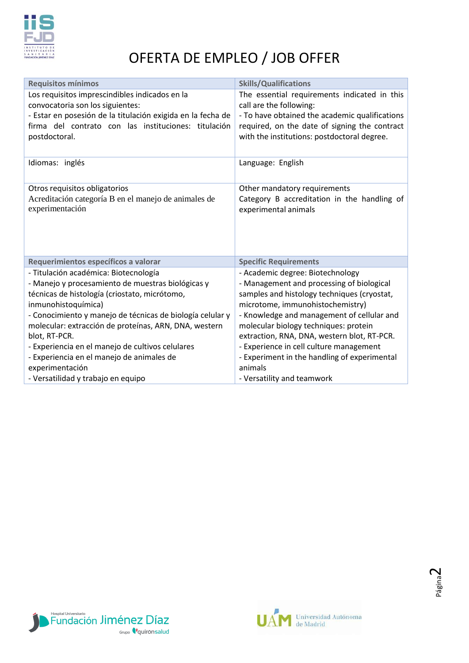

## OFERTA DE EMPLEO / JOB OFFER

| <b>Skills/Qualifications</b><br>The essential requirements indicated in this<br>call are the following:<br>- To have obtained the academic qualifications                                                                                                                                                                                                                                                                                  |
|--------------------------------------------------------------------------------------------------------------------------------------------------------------------------------------------------------------------------------------------------------------------------------------------------------------------------------------------------------------------------------------------------------------------------------------------|
|                                                                                                                                                                                                                                                                                                                                                                                                                                            |
|                                                                                                                                                                                                                                                                                                                                                                                                                                            |
| required, on the date of signing the contract<br>with the institutions: postdoctoral degree.                                                                                                                                                                                                                                                                                                                                               |
| Language: English                                                                                                                                                                                                                                                                                                                                                                                                                          |
| Other mandatory requirements                                                                                                                                                                                                                                                                                                                                                                                                               |
| Category B accreditation in the handling of<br>experimental animals                                                                                                                                                                                                                                                                                                                                                                        |
| <b>Specific Requirements</b>                                                                                                                                                                                                                                                                                                                                                                                                               |
| - Academic degree: Biotechnology<br>- Management and processing of biological<br>samples and histology techniques (cryostat,<br>microtome, immunohistochemistry)<br>- Knowledge and management of cellular and<br>molecular biology techniques: protein<br>extraction, RNA, DNA, western blot, RT-PCR.<br>- Experience in cell culture management<br>- Experiment in the handling of experimental<br>animals<br>- Versatility and teamwork |
|                                                                                                                                                                                                                                                                                                                                                                                                                                            |